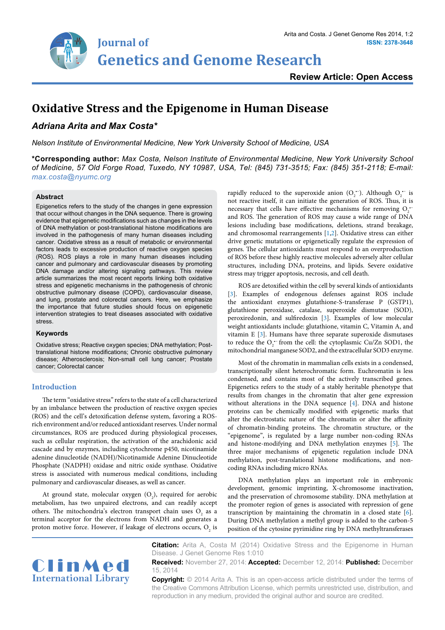

## **Review Article: Open Access**

# **Oxidative Stress and the Epigenome in Human Disease**

## *Adriana Arita and Max Costa\**

*Nelson Institute of Environmental Medicine, New York University School of Medicine, USA*

**\*Corresponding author:** *Max Costa, Nelson Institute of Environmental Medicine, New York University School of Medicine, 57 Old Forge Road, Tuxedo, NY 10987, USA, Tel: (845) 731-3515; Fax: (845) 351-2118; E-mail: max.costa@nyumc.org*

#### **Abstract**

Epigenetics refers to the study of the changes in gene expression that occur without changes in the DNA sequence. There is growing evidence that epigenetic modifications such as changes in the levels of DNA methylation or post-translational histone modifications are involved in the pathogenesis of many human diseases including cancer. Oxidative stress as a result of metabolic or environmental factors leads to excessive production of reactive oxygen species (ROS). ROS plays a role in many human diseases including cancer and pulmonary and cardiovascular diseases by promoting DNA damage and/or altering signaling pathways. This review article summarizes the most recent reports linking both oxidative stress and epigenetic mechanisms in the pathogenesis of chronic obstructive pulmonary disease (COPD), cardiovascular disease, and lung, prostate and colorectal cancers. Here, we emphasize the importance that future studies should focus on epigenetic intervention strategies to treat diseases associated with oxidative stress.

#### **Keywords**

Oxidative stress; Reactive oxygen species; DNA methylation; Posttranslational histone modifications; Chronic obstructive pulmonary disease; Atherosclerosis; Non-small cell lung cancer; Prostate cancer; Colorectal cancer

## **Introduction**

The term "oxidative stress" refers to the state of a cell characterized by an imbalance between the production of reactive oxygen species (ROS) and the cell's detoxification defense system, favoring a ROSrich environment and/or reduced antioxidant reserves. Under normal circumstances, ROS are produced during physiological processes, such as cellular respiration, the activation of the arachidonic acid cascade and by enzymes, including cytochrome p450, nicotinamide adenine dinucleotide (NADH)/Nicotinamide Adenine Dinucleotide Phosphate (NADPH) oxidase and nitric oxide synthase. Oxidative stress is associated with numerous medical conditions, including pulmonary and cardiovascular diseases, as well as cancer.

At ground state, molecular oxygen  $(O_2)$ , required for aerobic metabolism, has two unpaired electrons, and can readily accept others. The mitochondria's electron transport chain uses  $O_2$  as a terminal acceptor for the electrons from NADH and generates a proton motive force. However, if leakage of electrons occurs,  $O_2$  is

rapidly reduced to the superoxide anion  $(O_2^-)$ . Although  $O_2^{\bullet-}$  is not reactive itself, it can initiate the generation of ROS. Thus, it is necessary that cells have effective mechanisms for removing  $O_2$ . and ROS. The generation of ROS may cause a wide range of DNA lesions including base modifications, deletions, strand breakage, and chromosomal rearrangements [[1](#page-3-0)[,2\]](#page-3-1). Oxidative stress can either drive genetic mutations or epigenetically regulate the expression of genes. The cellular antioxidants must respond to an overproduction of ROS before these highly reactive molecules adversely alter cellular structures, including DNA, proteins, and lipids. Severe oxidative stress may trigger apoptosis, necrosis, and cell death.

ROS are detoxified within the cell by several kinds of antioxidants [[3](#page-3-2)]. Examples of endogenous defenses against ROS include the antioxidant enzymes glutathione-S-transferase P (GSTP1), glutathione peroxidase, catalase, superoxide dismutase (SOD), peroxiredonin, and sulfiredoxin [[3](#page-3-2)]. Examples of low molecular weight antioxidants include: glutathione, vitamin C, Vitamin A, and vitamin E  $[3]$  $[3]$ . Humans have three separate superoxide dismutases to reduce the  $O_2$ <sup> $\sim$ </sup> from the cell: the cytoplasmic Cu/Zn SOD1, the mitochondrial manganese SOD2, and the extracellular SOD3 enzyme.

Most of the chromatin in mammalian cells exists in a condensed, transcriptionally silent heterochromatic form. Euchromatin is less condensed, and contains most of the actively transcribed genes. Epigenetics refers to the study of a stably heritable phenotype that results from changes in the chromatin that alter gene expression without alterations in the DNA sequence [[4](#page-3-3)]. DNA and histone proteins can be chemically modified with epigenetic marks that alter the electrostatic nature of the chromatin or alter the affinity of chromatin-binding proteins. The chromatin structure, or the "epigenome", is regulated by a large number non-coding RNAs and histone-modifying and DNA methylation enzymes [\[5](#page-3-4)]. The three major mechanisms of epigenetic regulation include DNA methylation, post-translational histone modifications, and noncoding RNAs including micro RNAs.

DNA methylation plays an important role in embryonic development, genomic imprinting, X-chromosome inactivation, and the preservation of chromosome stability. DNA methylation at the promoter region of genes is associated with repression of gene transcription by maintaining the chromatin in a closed state [\[6\]](#page-3-5). During DNA methylation a methyl group is added to the carbon-5 position of the cytosine pyrimidine ring by DNA methyltransferases



**Citation:** Arita A, Costa M (2014) Oxidative Stress and the Epigenome in Human Disease. J Genet Genome Res 1:010

**Received:** November 27, 2014: **Accepted:** December 12, 2014: **Published:** December 15, 2014

**Copyright:** © 2014 Arita A. This is an open-access article distributed under the terms of the Creative Commons Attribution License, which permits unrestricted use, distribution, and reproduction in any medium, provided the original author and source are credited.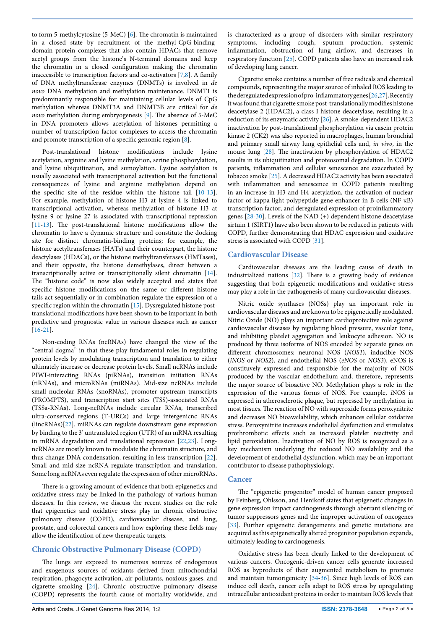to form 5-methylcytosine (5-MeC) [[6](#page-3-5)]. The chromatin is maintained in a closed state by recruitment of the methyl-CpG-bindingdomain protein complexes that also contain HDACs that remove acetyl groups from the histone's N-terminal domains and keep the chromatin in a closed configuration making the chromatin inaccessible to transcription factors and co-activators [\[7](#page-3-6)[,8\]](#page-3-7). A family of DNA methyltransferase enzymes (DNMTs) is involved in *de novo* DNA methylation and methylation maintenance. DNMT1 is predominantly responsible for maintaining cellular levels of CpG methylation whereas DNMT3A and DNMT3B are critical for *de novo* methylation during embryogenesis [[9](#page-3-8)]. The absence of 5-MeC in DNA promoters allows acetylation of histones permitting a number of transcription factor complexes to access the chromatin and promote transcription of a specific genomic region [\[8\]](#page-3-7).

Post-translational histone modifications include lysine acetylation, arginine and lysine methylation, serine phosphorylation, and lysine ubiquitination, and sumoylation. Lysine acetylation is usually associated with transcriptional activation but the functional consequences of lysine and arginine methylation depend on the specific site of the residue within the histone tail [[10-](#page-3-9)[13](#page-3-10)]. For example, methylation of histone H3 at lysine 4 is linked to transcriptional activation, whereas methylation of histone H3 at lysine 9 or lysine 27 is associated with transcriptional repression [[11](#page-3-11)[-13](#page-3-10)]. The post-translational histone modifications allow the chromatin to have a dynamic structure and constitute the docking site for distinct chromatin-binding proteins; for example, the histone acetyltransferases (HATs) and their counterpart, the histone deactylases (HDACs), or the histone methyltransferases (HMTases), and their opposite, the histone demethylases, direct between a transcriptionally active or transcriptionally silent chromatin [[14](#page-3-12)]. The "histone code" is now also widely accepted and states that specific histone modifications on the same or different histone tails act sequentially or in combination regulate the expression of a specific region within the chromatin [\[15\]](#page-3-13). Dysregulated histone posttranslational modifications have been shown to be important in both predictive and prognostic value in various diseases such as cancer [[16](#page-3-14)[-21](#page-3-15)].

Non-coding RNAs (ncRNAs) have changed the view of the "central dogma" in that these play fundamental roles in regulating protein levels by modulating transcription and translation to either ultimately increase or decrease protein levels. Small ncRNAs include PIWI-interacting RNAs (piRNAs), transition initiation RNAs (tiRNAs), and microRNAs (miRNAs). Mid-size ncRNAs include small nucleolar RNAs (snoRNAs), promoter upstream transcripts (PROMPTS), and transcription start sites (TSS)-associated RNAs (TSSa-RNAs). Long-ncRNAs include circular RNAs, transcribed ultra-conserved regions (T-URCs) and large intergenicnc RNAs (lincRNAs)[\[22\]](#page-3-16). miRNAs can regulate downstream gene expression by binding to the 3' untranslated region (UTR) of an mRNA resulting in mRNA degradation and translational repression [[22](#page-3-16)[,23](#page-3-17)]. LongncRNAs are mostly known to modulate the chromatin structure, and thus change DNA condensation, resulting in less transcription [[22](#page-3-16)]. Small and mid-size ncRNA regulate transcription and translation. Some long ncRNAs even regulate the expression of other microRNAs.

There is a growing amount of evidence that both epigenetics and oxidative stress may be linked in the pathology of various human diseases. In this review, we discuss the recent studies on the role that epigenetics and oxidative stress play in chronic obstructive pulmonary disease (COPD), cardiovascular disease, and lung, prostate, and colorectal cancers and how exploring these fields may allow the identification of new therapeutic targets.

## **Chronic Obstructive Pulmonary Disease (COPD)**

The lungs are exposed to numerous sources of endogenous and exogenous sources of oxidants derived from mitochondrial respiration, phagocyte activation, air pollutants, noxious gases, and cigarette smoking [[24\]](#page-3-18). Chronic obstructive pulmonary disease (COPD) represents the fourth cause of mortality worldwide, and is characterized as a group of disorders with similar respiratory symptoms, including cough, sputum production, systemic inflammation, obstruction of lung airflow, and decreases in respiratory function [[25](#page-3-19)]. COPD patients also have an increased risk of developing lung cancer.

Cigarette smoke contains a number of free radicals and chemical compounds, representing the major source of inhaled ROS leading to the deregulated expression of pro-inflammatory genes [[26](#page-3-20)[,27\]](#page-3-21). Recently it was found that cigarette smoke post-translationally modifies histone deacetylase 2 (HDAC2), a class I histone deacetylase, resulting in a reduction of its enzymatic activity [[26](#page-3-20)]. A smoke-dependent HDAC2 inactivation by post-translational phosphorylation via casein protein kinase 2 (CK2) was also reported in macrophages, human bronchial and primary small airway lung epithelial cells and, *in vivo*, in the mouse lung [\[28\]](#page-3-22). The inactivation by phosphorylation of HDAC2 results in its ubiquitination and proteosomal degradation. In COPD patients, inflammation and cellular senescence are exacerbated by tobacco smoke [[25\]](#page-3-19). A decreased HDAC2 activity has been associated with inflammation and senescence in COPD patients resulting in an increase in H3 and H4 acetylation, the activation of nuclear factor of kappa light polypeptide gene enhancer in B-cells (NF-κB) transcription factor, and deregulated expression of proinflammatory genes [\[28](#page-3-22)[-30\]](#page-3-23). Levels of the NAD (+) dependent histone deacetylase sirtuin 1 (SIRT1) have also been shown to be reduced in patients with COPD, further demonstrating that HDAC expression and oxidative stress is associated with COPD [[31](#page-3-24)].

### **Cardiovascular Disease**

Cardiovascular diseases are the leading cause of death in industrialized nations [[32](#page-3-25)]. There is a growing body of evidence suggesting that both epigenetic modifications and oxidative stress may play a role in the pathogenesis of many cardiovascular diseases.

Nitric oxide synthases (NOSs) play an important role in cardiovascular diseases and are known to be epigenetically modulated. Nitric Oxide (NO) plays an important cardioprotective role against cardiovascular diseases by regulating blood pressure, vascular tone, and inhibiting platelet aggregation and leukocyte adhesion. NO is produced by three isoforms of NOS encoded by separate genes on different chromosomes: neuronal NOS (*NOS1*), inducible NOS (*iNOS* or *NOS2*), and endothelial NOS (*eNOS* or *NOS3*). eNOS is constituvely expressed and responsible for the majority of NOS produced by the vascular endothelium and, therefore, represents the major source of bioactive NO. Methylation plays a role in the expression of the various forms of NOS. For example, iNOS is expressed in atherosclerotic plaque, but repressed by methylation in most tissues. The reaction of NO with superoxide forms peroxynitrite and decreases NO bioavailability, which enhances cellular oxidative stress. Peroxynitrite increases endothelial dysfunction and stimulates prothrombotic effects such as increased platelet reactivity and lipid peroxidation. Inactivation of NO by ROS is recognized as a key mechanism underlying the reduced NO availability and the development of endothelial dysfunction, which may be an important contributor to disease pathophysiology.

## **Cancer**

The "epigenetic progenitor" model of human cancer proposed by Feinberg, Ohlsson, and Henikoff states that epigenetic changes in gene expression impact carcinogenesis through aberrant silencing of tumor suppressors genes and the improper activation of oncogenes [[33](#page-3-26)]. Further epigenetic derangements and genetic mutations are acquired as this epigenetically altered progenitor population expands, ultimately leading to carcinogenesis.

Oxidative stress has been clearly linked to the development of various cancers. Oncogenic-driven cancer cells generate increased ROS as byproducts of their augmented metabolism to promote and maintain tumorigenicity [\[34-](#page-3-27)[36\]](#page-3-28). Since high levels of ROS can induce cell death, cancer cells adapt to ROS stress by upregulating intracellular antioxidant proteins in order to maintain ROS levels that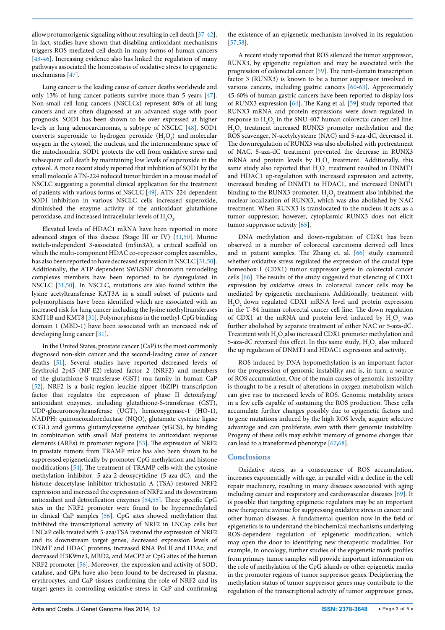allow protumorigenic signaling without resulting in cell death [[37-](#page-3-29)[42](#page-3-30)]. In fact, studies have shown that disabling antioxidant mechanisms triggers ROS-mediated cell death in many forms of human cancers [[43](#page-3-31)[-46](#page-3-32)]. Increasing evidence also has linked the regulation of many pathways associated the homeostasis of oxidative stress to epigenetic mechanisms [[47](#page-3-33)].

Lung cancer is the leading cause of cancer deaths worldwide and only 13% of lung cancer patients survive more than 5 years [[47](#page-3-33)]. Non-small cell lung cancers (NSCLCs) represent 80% of all lung cancers and are often diagnosed at an advanced stage with poor prognosis. SOD1 has been shown to be over expressed at higher levels in lung adenocarcinomas, a subtype of NSCLC [\[48\]](#page-3-34). SOD1 converts superoxide to hydrogen peroxide  $(H_2O_2)$  and molecular oxygen in the cytosol, the nucleus, and the intermembrane space of the mitochondria. SOD1 protects the cell from oxidative stress and subsequent cell death by maintaining low levels of superoxide in the cytosol. A more recent study reported that inhibition of SOD1 by the small molecule ATN-224 reduced tumor burden in a mouse model of NSCLC suggesting a potential clinical application for the treatment of patients with various forms of NSCLC [\[49\]](#page-3-35). ATN-224-dependent SOD1 inhibition in various NSCLC cells increased superoxide, diminished the enzyme activity of the antioxidant glutathione peroxidase, and increased intracellular levels of  ${\rm H_2O_2}.$ 

Elevated levels of HDAC1 mRNA have been reported in more advanced stages of this disease (Stage III or IV) [[31](#page-3-24)[,50](#page-3-36)]. Murine switch-independent 3-associated (mSin3A), a critical scaffold on which the multi-component HDAC co-repressor complex assembles, has also been reported to have decreased expression in NSCLC [\[31,](#page-3-24)[50](#page-3-36)]. Additionally, the ATP-dependent SWI/SNF chromatin remodeling complexes members have been reported to be dysregulated in NSCLC [\[31](#page-3-24)[,50\]](#page-3-36). In NSCLC, mutations are also found within the lysine acetyltransferase KAT3A in a small subset of patients and polymorphisms have been identified which are associated with an increased risk for lung cancer including the lysine methyltransferases KMT1B and KMT8 [[31\]](#page-3-24). Polymorphisms in the methyl-CpG binding domain 1 (MBD-1) have been associated with an increased risk of developing lung cancer [\[31\]](#page-3-24).

In the United States, prostate cancer (CaP) is the most commonly diagnosed non-skin cancer and the second-leading cause of cancer deaths [[51](#page-3-37)]. Several studies have reported decreased levels of Erythroid 2p45 (NF-E2)-related factor 2 (NRF2) and members of the glutathione-S-transferase (GST) mu family in human CaP [[52](#page-3-38)]. NRF2 is a basic-region leucine zipper (bZIP) transcription factor that regulates the expression of phase II detoxifying/ antioxidant enzymes, including glutathione-S-transferase (GST), UDP-glucuronosyltransferase (UGT), hemeoxygenase-1 (HO-1), NADPH: quinoneoxidoreductase (NQO), glutamate cysteine ligase (CGL) and gamma glutamylcysteine synthase (yGCS), by binding in combination with small Maf proteins to antioxidant response elements (AREs) in promoter regions [[53](#page-4-0)]. The expression of NRF2 in prostate tumors from TRAMP mice has also been shown to be suppressed epigenetically by promoter CpG methylation and histone modifications [[54](#page-4-1)]. The treatment of TRAMP cells with the cytosine methylation inhibitor, 5-aza-2-deoxycytidine (5-aza-dC), and the histone deacetylase inhibitor trichostatin A (TSA) restored NRF2 expression and increased the expression of NRF2 and its downstream antioxidant and detoxification enzymes [\[54,](#page-4-1)[55](#page-4-2)]. Three specific CpG sites in the NRF2 promoter were found to be hypermethylated in clinical CaP samples [[56](#page-4-3)]. CpG sites showed methylation that inhibited the transcriptional activity of NRF2 in LNCap cells but LNCaP cells treated with 5-aza/TSA restored the expression of NRF2 and its downstream target genes, decreased expression levels of DNMT and HDAC proteins, increased RNA Pol II and H3Ac, and decreased H3K9me3, MBD2, and MeCP2 at CpG sites of the human NRF2 promoter [\[56\]](#page-4-3). Moreover, the expression and activity of SOD, catalase, and GPx have also been found to be decreased in plasma, erythrocytes, and CaP tissues confirming the role of NRF2 and its target genes in controlling oxidative stress in CaP and confirming the existence of an epigenetic mechanism involved in its regulation [[57](#page-4-4),[58](#page-4-5)].

A recent study reported that ROS silenced the tumor suppressor, RUNX3, by epigenetic regulation and may be associated with the progression of colorectal cancer [[59\]](#page-4-6). The runt-domain transcription factor 3 (RUNX3) is known to be a tumor suppressor involved in various cancers, including gastric cancers [[60](#page-4-7)[-63](#page-4-8)]. Approximately 45-60% of human gastric cancers have been reported to display loss of RUNX3 expression [[64](#page-4-9)]. The Kang et al. [\[59\]](#page-4-6) study reported that RUNX3 mRNA and protein expressions were down-regulated in response to  $H_2O_2$  in the SNU-407 human colorectal cancer cell line. H<sub>2</sub>O<sub>2</sub> treatment increased RUNX3 promoter methylation and the ROS scavenger, N-acetylcysteine (NAC) and 5-aza-dC, decreased it. The downregulation of RUNX3 was also abolished with pretreatment of NAC. 5-aza-dC treatment prevented the decrease in RUNX3 mRNA and protein levels by  $H_2O_2$  treatment. Additionally, this same study also reported that  $H_2O_2$  treatment resulted in DNMT1 and HDAC1 up-regulation with increased expression and activity, increased binding of DNMT1 to HDAC1, and increased DNMT1 binding to the RUNX3 promoter.  $H_2O_2$  treatment also inhibited the nuclear localization of RUNX3, which was also abolished by NAC treatment. When RUNX3 is translocated to the nucleus it acts as a tumor suppressor; however, cytoplasmic RUNX3 does not elicit tumor suppressor activity [\[65](#page-4-10)].

DNA methylation and down-regulation of CDX1 has been observed in a number of colorectal carcinoma derived cell lines and in patient samples. The Zhang et. al. [[66](#page-4-11)] study examined whether oxidative stress regulated the expression of the caudal type homeobox-1 (CDX1) tumor suppressor gene in colorectal cancer cells [[66\]](#page-4-11). The results of the study suggested that silencing of CDX1 expression by oxidative stress in colorectal cancer cells may be mediated by epigenetic mechanisms. Additionally, treatment with H2 O2 down regulated CDX1 mRNA level and protein expression in the T-84 human colorectal cancer cell line. The down regulation of CDX1 at the mRNA and protein level induced by  $H_2O_2$  was further abolished by separate treatment of either NAC or 5-aza-dC. Treatment with  $\rm H_2O_2$  also increased CDX1 promoter methylation and 5-aza-dC reversed this effect. In this same study,  $H_2O_2$  also induced the up regulation of DNMT1 and HDAC1 expression and activity.

ROS induced by DNA hypomethylation is an important factor for the progression of genomic instability and is, in turn, a source of ROS accumulation. One of the main causes of genomic instability is thought to be a result of alterations in oxygen metabolism which can give rise to increased levels of ROS. Genomic instability arises in a few cells capable of sustaining the ROS production. These cells accumulate further changes possibly due to epigenetic factors and to gene mutations induced by the high ROS levels, acquire selective advantage and can proliferate, even with their genomic instability. Progeny of these cells may exhibit memory of genome changes that can lead to a transformed phenotype [[67,](#page-4-12)[68](#page-4-13)].

## **Conclusions**

Oxidative stress, as a consequence of ROS accumulation, increases exponentially with age, in parallel with a decline in the cell repair machinery, resulting in many diseases associated with aging including cancer and respiratory and cardiovascular diseases [[69](#page-4-14)]. It is possible that targeting epigenetic regulators may be an important new therapeutic avenue for suppressing oxidative stress in cancer and other human diseases. A fundamental question now in the field of epigenetics is to understand the biochemical mechanisms underlying ROS-dependent regulation of epigenetic modification, which may open the door to identifying new therapeutic modalities. For example, in oncology, further studies of the epigenetic mark profiles from primary tumor samples will provide important information on the role of methylation of the CpG islands or other epigenetic marks in the promoter regions of tumor suppressor genes. Deciphering the methylation status of tumor suppressor genes may contribute to the regulation of the transcriptional activity of tumor suppressor genes,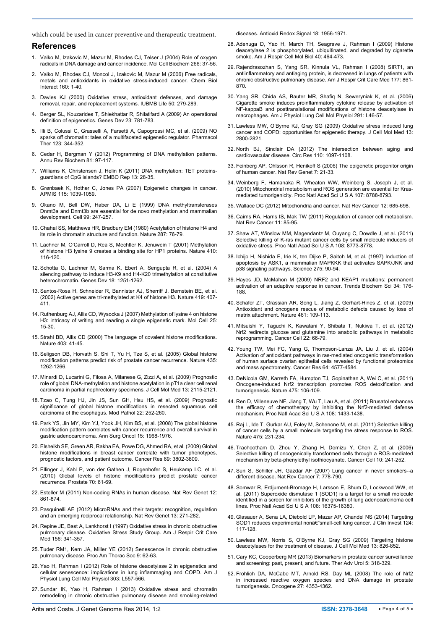which could be used in cancer preventive and therapeutic treatment.

### **References**

- <span id="page-3-0"></span>1. [Valko M, Izakovic M, Mazur M, Rhodes CJ, Telser J \(2004\) Role of oxygen](http://www.ncbi.nlm.nih.gov/pubmed/15646026)  [radicals in DNA damage and cancer incidence. Mol Cell Biochem 266: 37-56.](http://www.ncbi.nlm.nih.gov/pubmed/15646026)
- <span id="page-3-1"></span>2. [Valko M, Rhodes CJ, Moncol J, Izakovic M, Mazur M \(2006\) Free radicals,](http://www.ncbi.nlm.nih.gov/pubmed/16430879)  [metals and antioxidants in oxidative stress-induced cancer. Chem Biol](http://www.ncbi.nlm.nih.gov/pubmed/16430879)  [Interact 160: 1-40.](http://www.ncbi.nlm.nih.gov/pubmed/16430879)
- <span id="page-3-2"></span>3. [Davies KJ \(2000\) Oxidative stress, antioxidant defenses, and damage](http://www.ncbi.nlm.nih.gov/pubmed/11327322)  [removal, repair, and replacement systems. IUBMB Life 50: 279-289.](http://www.ncbi.nlm.nih.gov/pubmed/11327322)
- <span id="page-3-3"></span>4. [Berger SL, Kouzarides T, Shiekhattar R, Shilatifard A \(2009\) An operational](http://www.ncbi.nlm.nih.gov/pubmed/19339683)  [definition of epigenetics. Genes Dev 23: 781-783.](http://www.ncbi.nlm.nih.gov/pubmed/19339683)
- <span id="page-3-4"></span>5. [Illi B, Colussi C, Grasselli A, Farsetti A, Capogrossi MC, et al. \(2009\) NO](http://www.ncbi.nlm.nih.gov/pubmed/19464317)  [sparks off chromatin: tales of a multifaceted epigenetic regulator. Pharmacol](http://www.ncbi.nlm.nih.gov/pubmed/19464317)  [Ther 123: 344-352.](http://www.ncbi.nlm.nih.gov/pubmed/19464317)
- <span id="page-3-5"></span>6. [Cedar H, Bergman Y \(2012\) Programming of DNA methylation patterns.](http://www.ncbi.nlm.nih.gov/pubmed/22404632)  [Annu Rev Biochem 81: 97-117.](http://www.ncbi.nlm.nih.gov/pubmed/22404632)
- <span id="page-3-6"></span>7. [Williams K, Christensen J, Helin K \(2011\) DNA methylation: TET proteins](http://www.ncbi.nlm.nih.gov/pubmed/22157888)[guardians of CpG islands? EMBO Rep 13: 28-35.](http://www.ncbi.nlm.nih.gov/pubmed/22157888)
- <span id="page-3-7"></span>8. [Grønbaek K, Hother C, Jones PA \(2007\) Epigenetic changes in cancer.](http://www.ncbi.nlm.nih.gov/pubmed/18042143)  [APMIS 115: 1039-1059.](http://www.ncbi.nlm.nih.gov/pubmed/18042143)
- <span id="page-3-8"></span>9. [Okano M, Bell DW, Haber DA, Li E \(1999\) DNA methyltransferases](http://www.ncbi.nlm.nih.gov/pubmed/10555141)  [Dnmt3a and Dnmt3b are essential for de novo methylation and mammalian](http://www.ncbi.nlm.nih.gov/pubmed/10555141)  [development. Cell 99: 247-257.](http://www.ncbi.nlm.nih.gov/pubmed/10555141)
- <span id="page-3-9"></span>10. [Chahal SS, Matthews HR, Bradbury EM \(1980\) Acetylation of histone H4 and](http://www.ncbi.nlm.nih.gov/pubmed/7412879)  [its role in chromatin structure and function. Nature 287: 76-79.](http://www.ncbi.nlm.nih.gov/pubmed/7412879)
- <span id="page-3-11"></span>11. [Lachner M, O'Carroll D, Rea S, Mechtler K, Jenuwein T \(2001\) Methylation](http://www.ncbi.nlm.nih.gov/pubmed/11242053)  [of histone H3 lysine 9 creates a binding site for HP1 proteins. Nature 410:](http://www.ncbi.nlm.nih.gov/pubmed/11242053)  [116-120.](http://www.ncbi.nlm.nih.gov/pubmed/11242053)
- 12. [Schotta G, Lachner M, Sarma K, Ebert A, Sengupta R, et al. \(2004\) A](http://www.ncbi.nlm.nih.gov/pubmed/15145825)  [silencing pathway to induce H3-K9 and H4-K20 trimethylation at constitutive](http://www.ncbi.nlm.nih.gov/pubmed/15145825)  [heterochromatin. Genes Dev 18: 1251-1262.](http://www.ncbi.nlm.nih.gov/pubmed/15145825)
- <span id="page-3-10"></span>13. [Santos-Rosa H, Schneider R, Bannister AJ, Sherriff J, Bernstein BE, et al.](http://www.ncbi.nlm.nih.gov/pubmed/12353038)  [\(2002\) Active genes are tri-methylated at K4 of histone H3. Nature 419: 407-](http://www.ncbi.nlm.nih.gov/pubmed/12353038) [411.](http://www.ncbi.nlm.nih.gov/pubmed/12353038)
- <span id="page-3-12"></span>14. [Ruthenburg AJ, Allis CD, Wysocka J \(2007\) Methylation of lysine 4 on histone](http://www.ncbi.nlm.nih.gov/pubmed/17218268)  [H3: intricacy of writing and reading a single epigenetic mark. Mol Cell 25:](http://www.ncbi.nlm.nih.gov/pubmed/17218268)  [15-30.](http://www.ncbi.nlm.nih.gov/pubmed/17218268)
- <span id="page-3-13"></span>15. [Strahl BD, Allis CD \(2000\) The language of covalent histone modifications.](http://www.ncbi.nlm.nih.gov/pubmed/10638745)  [Nature 403: 41-45.](http://www.ncbi.nlm.nih.gov/pubmed/10638745)
- <span id="page-3-14"></span>16. [Seligson DB, Horvath S, Shi T, Yu H, Tze S, et al. \(2005\) Global histone](http://www.ncbi.nlm.nih.gov/pubmed/15988529)  [modification patterns predict risk of prostate cancer recurrence. Nature 435:](http://www.ncbi.nlm.nih.gov/pubmed/15988529)  [1262-1266.](http://www.ncbi.nlm.nih.gov/pubmed/15988529)
- 17. Minardi D, Lucarini G, Filosa A, Milanese G, Zizzi A, et al. (2009) Prognostic role of global DNA-methylation and histone acetylation in pT1a clear cell renal carcinoma in partial nephrectomy specimens. J Cell Mol Med 13: 2115-2121.
- 18. [Tzao C, Tung HJ, Jin JS, Sun GH, Hsu HS, et al. \(2009\) Prognostic](http://www.ncbi.nlm.nih.gov/pubmed/18953329)  [significance of global histone modifications in resected squamous cell](http://www.ncbi.nlm.nih.gov/pubmed/18953329)  [carcinoma of the esophagus. Mod Pathol 22: 252-260.](http://www.ncbi.nlm.nih.gov/pubmed/18953329)
- 19. [Park YS, Jin MY, Kim YJ, Yook JH, Kim BS, et al. \(2008\) The global histone](http://www.ncbi.nlm.nih.gov/pubmed/18470569)  [modification pattern correlates with cancer recurrence and overall survival in](http://www.ncbi.nlm.nih.gov/pubmed/18470569)  [gastric adenocarcinoma. Ann Surg Oncol 15: 1968-1976.](http://www.ncbi.nlm.nih.gov/pubmed/18470569)
- 20. [Elsheikh SE, Green AR, Rakha EA, Powe DG, Ahmed RA, et al. \(2009\) Global](http://www.ncbi.nlm.nih.gov/pubmed/19366799)  [histone modifications in breast cancer correlate with tumor phenotypes,](http://www.ncbi.nlm.nih.gov/pubmed/19366799)  [prognostic factors, and patient outcome. Cancer Res 69: 3802-3809.](http://www.ncbi.nlm.nih.gov/pubmed/19366799)
- <span id="page-3-15"></span>21. [Ellinger J, Kahl P, von der Gathen J, Rogenhofer S, Heukamp LC, et al.](http://www.ncbi.nlm.nih.gov/pubmed/19739128)  [\(2010\) Global levels of histone modifications predict prostate cancer](http://www.ncbi.nlm.nih.gov/pubmed/19739128)  [recurrence. Prostate 70: 61-69.](http://www.ncbi.nlm.nih.gov/pubmed/19739128)
- <span id="page-3-16"></span>22. [Esteller M \(2011\) Non-coding RNAs in human disease. Nat Rev Genet 12:](http://www.ncbi.nlm.nih.gov/pubmed/22094949)  [861-874.](http://www.ncbi.nlm.nih.gov/pubmed/22094949)
- <span id="page-3-17"></span>23. Pasquinelli AE (2012) MicroRNAs and their targets: recognition, regulation and an emerging reciprocal relationship. Nat Rev Genet 13: 271-282.
- <span id="page-3-18"></span>24. [Repine JE, Bast A, Lankhorst I \(1997\) Oxidative stress in chronic obstructive](http://www.ncbi.nlm.nih.gov/pubmed/9279209)  [pulmonary disease. Oxidative Stress Study Group. Am J Respir Crit Care](http://www.ncbi.nlm.nih.gov/pubmed/9279209)  [Med 156: 341-357.](http://www.ncbi.nlm.nih.gov/pubmed/9279209)
- <span id="page-3-19"></span>25. [Tuder RM1, Kern JA, Miller YE \(2012\) Senescence in chronic obstructive](http://www.ncbi.nlm.nih.gov/pubmed/22550244)  [pulmonary disease. Proc Am Thorac Soc 9: 62-63.](http://www.ncbi.nlm.nih.gov/pubmed/22550244)
- <span id="page-3-20"></span>26. [Yao H, Rahman I \(2012\) Role of histone deacetylase 2 in epigenetics and](http://www.ncbi.nlm.nih.gov/pubmed/22842217)  [cellular senescence: implications in lung inflammaging and COPD. Am J](http://www.ncbi.nlm.nih.gov/pubmed/22842217)  [Physiol Lung Cell Mol Physiol 303: L557-566.](http://www.ncbi.nlm.nih.gov/pubmed/22842217)
- <span id="page-3-21"></span>27. [Sundar IK, Yao H, Rahman I \(2013\) Oxidative stress and chromatin](http://www.ncbi.nlm.nih.gov/pubmed/22978694)  [remodeling in chronic obstructive pulmonary disease and smoking-related](http://www.ncbi.nlm.nih.gov/pubmed/22978694)

<span id="page-3-22"></span>[diseases. Antioxid Redox Signal 18: 1956-1971.](http://www.ncbi.nlm.nih.gov/pubmed/22978694)

- 28. [Adenuga D, Yao H, March TH, Seagrave J, Rahman I \(2009\) Histone](http://www.ncbi.nlm.nih.gov/pubmed/18927347)  [deacetylase 2 is phosphorylated, ubiquitinated, and degraded by cigarette](http://www.ncbi.nlm.nih.gov/pubmed/18927347)  [smoke. Am J Respir Cell Mol Biol 40: 464-473.](http://www.ncbi.nlm.nih.gov/pubmed/18927347)
- 29. [Rajendrasozhan S, Yang SR, Kinnula VL, Rahman I \(2008\) SIRT1, an](http://www.ncbi.nlm.nih.gov/pubmed/18174544)  [antiinflammatory and antiaging protein, is decreased in lungs of patients with](http://www.ncbi.nlm.nih.gov/pubmed/18174544)  [chronic obstructive pulmonary disease. Am J Respir Crit Care Med 177: 861-](http://www.ncbi.nlm.nih.gov/pubmed/18174544) [870.](http://www.ncbi.nlm.nih.gov/pubmed/18174544)
- <span id="page-3-23"></span>30. [Yang SR, Chida AS, Bauter MR, Shafiq N, Seweryniak K, et al. \(2006\)](http://www.ncbi.nlm.nih.gov/pubmed/16473865)  [Cigarette smoke induces proinflammatory cytokine release by activation of](http://www.ncbi.nlm.nih.gov/pubmed/16473865)  [NF-kappaB and posttranslational modifications of histone deacetylase in](http://www.ncbi.nlm.nih.gov/pubmed/16473865)  [macrophages. Am J Physiol Lung Cell Mol Physiol 291: L46-57.](http://www.ncbi.nlm.nih.gov/pubmed/16473865)
- <span id="page-3-24"></span>31. [Lawless MW, O'Byrne KJ, Gray SG \(2009\) Oxidative stress induced lung](http://www.ncbi.nlm.nih.gov/pubmed/19602054)  [cancer and COPD: opportunities for epigenetic therapy. J Cell Mol Med 13:](http://www.ncbi.nlm.nih.gov/pubmed/19602054)  [2800-2821.](http://www.ncbi.nlm.nih.gov/pubmed/19602054)
- <span id="page-3-25"></span>32. [North BJ, Sinclair DA \(2012\) The intersection between aging and](http://www.ncbi.nlm.nih.gov/pubmed/22499900)  [cardiovascular disease. Circ Res 110: 1097-1108.](http://www.ncbi.nlm.nih.gov/pubmed/22499900)
- <span id="page-3-26"></span>33. [Feinberg AP, Ohlsson R, Henikoff S \(2006\) The epigenetic progenitor origin](http://www.ncbi.nlm.nih.gov/pubmed/16369569)  [of human cancer. Nat Rev Genet 7: 21-33.](http://www.ncbi.nlm.nih.gov/pubmed/16369569)
- <span id="page-3-27"></span>34. [Weinberg F, Hamanaka R, Wheaton WW, Weinberg S, Joseph J, et al.](http://www.ncbi.nlm.nih.gov/pubmed/20421486)  [\(2010\) Mitochondrial metabolism and ROS generation are essential for Kras](http://www.ncbi.nlm.nih.gov/pubmed/20421486)[mediated tumorigenicity. Proc Natl Acad Sci U S A 107: 8788-8793.](http://www.ncbi.nlm.nih.gov/pubmed/20421486)
- 35. [Wallace DC \(2012\) Mitochondria and cancer. Nat Rev Cancer 12: 685-698.](http://www.ncbi.nlm.nih.gov/pubmed/23001348)
- <span id="page-3-28"></span>36. [Cairns RA, Harris IS, Mak TW \(2011\) Regulation of cancer cell metabolism.](http://www.ncbi.nlm.nih.gov/pubmed/21258394)  [Nat Rev Cancer 11: 85-95.](http://www.ncbi.nlm.nih.gov/pubmed/21258394)
- <span id="page-3-29"></span>37. [Shaw AT, Winslow MM, Magendantz M, Ouyang C, Dowdle J, et al. \(2011\)](http://www.ncbi.nlm.nih.gov/pubmed/21555567)  [Selective killing of K-ras mutant cancer cells by small molecule inducers of](http://www.ncbi.nlm.nih.gov/pubmed/21555567)  [oxidative stress. Proc Natl Acad Sci U S A 108: 8773-8778.](http://www.ncbi.nlm.nih.gov/pubmed/21555567)
- 38. [Ichijo H, Nishida E, Irie K, ten Dijke P, Saitoh M, et al. \(1997\) Induction of](http://www.ncbi.nlm.nih.gov/pubmed/8974401)  [apoptosis by ASK1, a mammalian MAPKKK that activates SAPK/JNK and](http://www.ncbi.nlm.nih.gov/pubmed/8974401)  [p38 signaling pathways. Science 275: 90-94.](http://www.ncbi.nlm.nih.gov/pubmed/8974401)
- 39. [Hayes JD, McMahon M \(2009\) NRF2 and KEAP1 mutations: permanent](http://www.ncbi.nlm.nih.gov/pubmed/19321346)  [activation of an adaptive response in cancer. Trends Biochem Sci 34: 176-](http://www.ncbi.nlm.nih.gov/pubmed/19321346) [188.](http://www.ncbi.nlm.nih.gov/pubmed/19321346)
- 40. [Schafer ZT, Grassian AR, Song L, Jiang Z, Gerhart-Hines Z, et al. \(2009\)](http://www.ncbi.nlm.nih.gov/pubmed/19693011)  [Antioxidant and oncogene rescue of metabolic defects caused by loss of](http://www.ncbi.nlm.nih.gov/pubmed/19693011)  [matrix attachment. Nature 461: 109-113.](http://www.ncbi.nlm.nih.gov/pubmed/19693011)
- 41. [Mitsuishi Y, Taguchi K, Kawatani Y, Shibata T, Nukiwa T, et al. \(2012\)](http://www.ncbi.nlm.nih.gov/pubmed/22789539)  [Nrf2 redirects glucose and glutamine into anabolic pathways in metabolic](http://www.ncbi.nlm.nih.gov/pubmed/22789539)  [reprogramming. Cancer Cell 22: 66-79.](http://www.ncbi.nlm.nih.gov/pubmed/22789539)
- <span id="page-3-30"></span>42. [Young TW, Mei FC, Yang G, Thompson-Lanza JA, Liu J, et al. \(2004\)](http://www.ncbi.nlm.nih.gov/pubmed/15231669)  [Activation of antioxidant pathways in ras-mediated oncogenic transformation](http://www.ncbi.nlm.nih.gov/pubmed/15231669)  [of human surface ovarian epithelial cells revealed by functional proteomics](http://www.ncbi.nlm.nih.gov/pubmed/15231669)  [and mass spectrometry. Cancer Res 64: 4577-4584.](http://www.ncbi.nlm.nih.gov/pubmed/15231669)
- <span id="page-3-31"></span>43. [DeNicola GM, Karreth FA, Humpton TJ, Gopinathan A, Wei C, et al. \(2011\)](http://www.ncbi.nlm.nih.gov/pubmed/21734707)  [Oncogene-induced Nrf2 transcription promotes ROS detoxification and](http://www.ncbi.nlm.nih.gov/pubmed/21734707)  [tumorigenesis. Nature 475: 106-109.](http://www.ncbi.nlm.nih.gov/pubmed/21734707)
- 44. [Ren D, Villeneuve NF, Jiang T, Wu T, Lau A, et al. \(2011\) Brusatol enhances](http://www.ncbi.nlm.nih.gov/pubmed/21205897)  [the efficacy of chemotherapy by inhibiting the Nrf2-mediated defense](http://www.ncbi.nlm.nih.gov/pubmed/21205897)  [mechanism. Proc Natl Acad Sci U S A 108: 1433-1438.](http://www.ncbi.nlm.nih.gov/pubmed/21205897)
- 45. [Raj L, Ide T, Gurkar AU, Foley M, Schenone M, et al. \(2011\) Selective killing](http://www.ncbi.nlm.nih.gov/pubmed/21753854)  [of cancer cells by a small molecule targeting the stress response to ROS.](http://www.ncbi.nlm.nih.gov/pubmed/21753854)  [Nature 475: 231-234.](http://www.ncbi.nlm.nih.gov/pubmed/21753854)
- <span id="page-3-32"></span>46. [Trachootham D, Zhou Y, Zhang H, Demizu Y, Chen Z, et al. \(2006\)](http://www.ncbi.nlm.nih.gov/pubmed/16959615)  [Selective killing of oncogenically transformed cells through a ROS-mediated](http://www.ncbi.nlm.nih.gov/pubmed/16959615)  [mechanism by beta-phenylethyl isothiocyanate. Cancer Cell 10: 241-252.](http://www.ncbi.nlm.nih.gov/pubmed/16959615)
- <span id="page-3-33"></span>47. [Sun S, Schiller JH, Gazdar AF \(2007\) Lung cancer in never smokers--a](http://www.ncbi.nlm.nih.gov/pubmed/17882278)  [different disease. Nat Rev Cancer 7: 778-790.](http://www.ncbi.nlm.nih.gov/pubmed/17882278)
- <span id="page-3-34"></span>48. [Somwar R, Erdjument-Bromage H, Larsson E, Shum D, Lockwood WW, et](http://www.ncbi.nlm.nih.gov/pubmed/21930909)  [al. \(2011\) Superoxide dismutase 1 \(SOD1\) is a target for a small molecule](http://www.ncbi.nlm.nih.gov/pubmed/21930909)  [identified in a screen for inhibitors of the growth of lung adenocarcinoma cell](http://www.ncbi.nlm.nih.gov/pubmed/21930909)  [lines. Proc Natl Acad Sci U S A 108: 16375-16380.](http://www.ncbi.nlm.nih.gov/pubmed/21930909)
- <span id="page-3-35"></span>49. [Glasauer A, Sena LA, Diebold LP, Mazar AP, Chandel NS \(2014\) Targeting](http://www.ncbi.nlm.nih.gov/pubmed/24292713)  SOD1 reduces experimental nonâ€"small-cell lung cancer. J Clin Invest 124: [117-128.](http://www.ncbi.nlm.nih.gov/pubmed/24292713)
- <span id="page-3-36"></span>50. [Lawless MW, Norris S, O'Byrne KJ, Gray SG \(2009\) Targeting histone](http://www.ncbi.nlm.nih.gov/pubmed/19175682)  [deacetylases for the treatment of disease. J Cell Mol Med 13: 826-852.](http://www.ncbi.nlm.nih.gov/pubmed/19175682)
- <span id="page-3-37"></span>51. [Cary KC, Cooperberg MR \(2013\) Biomarkers in prostate cancer surveillance](http://www.ncbi.nlm.nih.gov/pubmed/24294290)  [and screening: past, present, and future. Ther Adv Urol 5: 318-329.](http://www.ncbi.nlm.nih.gov/pubmed/24294290)
- <span id="page-3-38"></span>52. [Frohlich DA, McCabe MT, Arnold RS, Day ML \(2008\) The role of Nrf2](http://www.ncbi.nlm.nih.gov/pubmed/18372916)  [in increased reactive oxygen species and DNA damage in prostate](http://www.ncbi.nlm.nih.gov/pubmed/18372916)  [tumorigenesis. Oncogene 27: 4353-4362.](http://www.ncbi.nlm.nih.gov/pubmed/18372916)